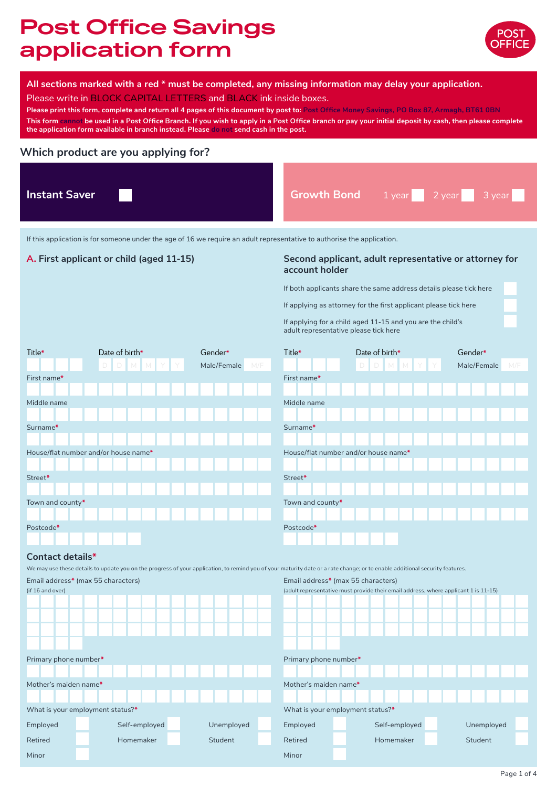# **Post Office Savings application form**



#### **All sections marked with a red \* must be completed, any missing information may delay your application.**

Please write in BLOCK CAPITAL LETTERS and BLACK ink inside boxes.

Please print this form, complete and return all 4 pages of this document by post to: Post Office Money Savings, PO Box 87, Armagh, BT61 0BN **This form cannot be used in a Post Office Branch. If you wish to apply in a Post Office branch or pay your initial deposit by cash, then please complete the application form available in branch instead. Please do not send cash in the post.**

## **Which product are you applying for?**

| <b>Instant Saver</b> | <b>Growth Bond</b> 1 year 2 year 3 year |
|----------------------|-----------------------------------------|
|                      |                                         |

If this application is for someone under the age of 16 we require an adult representative to authorise the application.

#### **A. First applicant or child (aged 11-15) Second applicant, adult representative or attorney for account holder**

If both applicants share the same address details please tick here

If applying as attorney for the first applicant please tick here

If applying for a child aged 11-15 and you are the child's adult representative please tick here

| Title*                               | Date of birth*                                                                                                                                                               | Gender*            | Title*                               | Date of birth*                                                                      | Gender*            |  |
|--------------------------------------|------------------------------------------------------------------------------------------------------------------------------------------------------------------------------|--------------------|--------------------------------------|-------------------------------------------------------------------------------------|--------------------|--|
|                                      |                                                                                                                                                                              | Male/Female<br>M/F |                                      |                                                                                     | Male/Female<br>M/F |  |
| First name*                          |                                                                                                                                                                              |                    | First name*                          |                                                                                     |                    |  |
|                                      |                                                                                                                                                                              |                    |                                      |                                                                                     |                    |  |
| Middle name                          |                                                                                                                                                                              |                    | Middle name                          |                                                                                     |                    |  |
|                                      |                                                                                                                                                                              |                    |                                      |                                                                                     |                    |  |
| Surname*                             |                                                                                                                                                                              |                    | Surname*                             |                                                                                     |                    |  |
|                                      |                                                                                                                                                                              |                    |                                      |                                                                                     |                    |  |
| House/flat number and/or house name* |                                                                                                                                                                              |                    | House/flat number and/or house name* |                                                                                     |                    |  |
| Street*                              |                                                                                                                                                                              |                    | Street*                              |                                                                                     |                    |  |
|                                      |                                                                                                                                                                              |                    |                                      |                                                                                     |                    |  |
| Town and county*                     |                                                                                                                                                                              |                    | Town and county*                     |                                                                                     |                    |  |
|                                      |                                                                                                                                                                              |                    |                                      |                                                                                     |                    |  |
| Postcode*                            |                                                                                                                                                                              |                    | Postcode*                            |                                                                                     |                    |  |
|                                      |                                                                                                                                                                              |                    |                                      |                                                                                     |                    |  |
| <b>Contact details*</b>              |                                                                                                                                                                              |                    |                                      |                                                                                     |                    |  |
|                                      | We may use these details to update you on the progress of your application, to remind you of your maturity date or a rate change; or to enable additional security features. |                    |                                      |                                                                                     |                    |  |
| Email address* (max 55 characters)   |                                                                                                                                                                              |                    | Email address* (max 55 characters)   |                                                                                     |                    |  |
| (if 16 and over)                     |                                                                                                                                                                              |                    |                                      | (adult representative must provide their email address, where applicant 1 is 11-15) |                    |  |
|                                      |                                                                                                                                                                              |                    |                                      |                                                                                     |                    |  |
|                                      |                                                                                                                                                                              |                    |                                      |                                                                                     |                    |  |
|                                      |                                                                                                                                                                              |                    |                                      |                                                                                     |                    |  |
|                                      |                                                                                                                                                                              |                    |                                      |                                                                                     |                    |  |
| Primary phone number*                |                                                                                                                                                                              |                    | Primary phone number*                |                                                                                     |                    |  |
|                                      |                                                                                                                                                                              |                    |                                      |                                                                                     |                    |  |
| Mother's maiden name*                |                                                                                                                                                                              |                    | Mother's maiden name*                |                                                                                     |                    |  |
|                                      |                                                                                                                                                                              |                    |                                      |                                                                                     |                    |  |
| What is your employment status?*     |                                                                                                                                                                              |                    | What is your employment status?*     |                                                                                     |                    |  |
| Employed                             | Self-employed                                                                                                                                                                | Unemployed         | Employed                             | Self-employed                                                                       | Unemployed         |  |
| Retired                              | Homemaker                                                                                                                                                                    | Student            | Retired                              | Homemaker                                                                           | Student            |  |
| Minor                                |                                                                                                                                                                              |                    | Minor                                |                                                                                     |                    |  |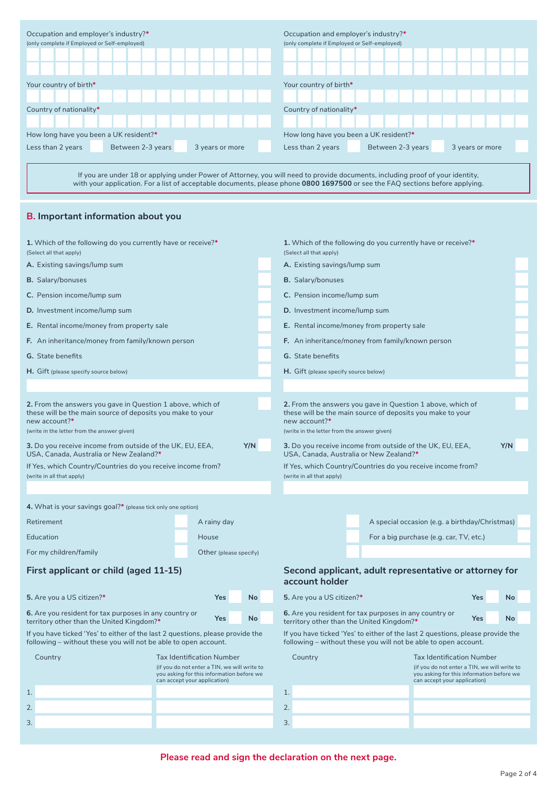| Occupation and employer's industry?*<br>(only complete if Employed or Self-employed) |                                                                                                                                                                                                                                                                 |                 | Occupation and employer's industry?*<br>(only complete if Employed or Self-employed) |                                                                                                                          |                 |  |  |
|--------------------------------------------------------------------------------------|-----------------------------------------------------------------------------------------------------------------------------------------------------------------------------------------------------------------------------------------------------------------|-----------------|--------------------------------------------------------------------------------------|--------------------------------------------------------------------------------------------------------------------------|-----------------|--|--|
| Your country of birth*                                                               |                                                                                                                                                                                                                                                                 |                 | Your country of birth*                                                               |                                                                                                                          |                 |  |  |
| Country of nationality*                                                              |                                                                                                                                                                                                                                                                 |                 | Country of nationality*                                                              |                                                                                                                          |                 |  |  |
|                                                                                      |                                                                                                                                                                                                                                                                 |                 |                                                                                      |                                                                                                                          |                 |  |  |
| How long have you been a UK resident?*                                               |                                                                                                                                                                                                                                                                 |                 | How long have you been a UK resident?*                                               |                                                                                                                          |                 |  |  |
| Less than 2 years                                                                    | Between 2-3 years                                                                                                                                                                                                                                               | 3 years or more | Less than 2 years                                                                    | Between 2-3 years                                                                                                        | 3 years or more |  |  |
|                                                                                      | If you are under 18 or applying under Power of Attorney, you will need to provide documents, including proof of your identity,<br>with your application. For a list of acceptable documents, please phone 0800 1697500 or see the FAQ sections before applying. |                 |                                                                                      |                                                                                                                          |                 |  |  |
|                                                                                      | <b>B.</b> Important information about you                                                                                                                                                                                                                       |                 |                                                                                      |                                                                                                                          |                 |  |  |
| (Select all that apply)                                                              | 1. Which of the following do you currently have or receive?*                                                                                                                                                                                                    |                 | (Select all that apply)                                                              | 1. Which of the following do you currently have or receive?*                                                             |                 |  |  |
| A. Existing savings/lump sum                                                         |                                                                                                                                                                                                                                                                 |                 | A. Existing savings/lump sum                                                         |                                                                                                                          |                 |  |  |
| <b>B.</b> Salary/bonuses                                                             |                                                                                                                                                                                                                                                                 |                 | <b>B.</b> Salary/bonuses                                                             |                                                                                                                          |                 |  |  |
| C. Pension income/lump sum                                                           |                                                                                                                                                                                                                                                                 |                 | C. Pension income/lump sum                                                           |                                                                                                                          |                 |  |  |
| D. Investment income/lump sum                                                        |                                                                                                                                                                                                                                                                 |                 | D. Investment income/lump sum                                                        |                                                                                                                          |                 |  |  |
| E. Rental income/money from property sale                                            |                                                                                                                                                                                                                                                                 |                 |                                                                                      | E. Rental income/money from property sale                                                                                |                 |  |  |
|                                                                                      | F. An inheritance/money from family/known person                                                                                                                                                                                                                |                 |                                                                                      | F. An inheritance/money from family/known person                                                                         |                 |  |  |
| <b>G.</b> State benefits                                                             |                                                                                                                                                                                                                                                                 |                 | <b>G.</b> State benefits                                                             |                                                                                                                          |                 |  |  |
| H. Gift (please specify source below)                                                |                                                                                                                                                                                                                                                                 |                 | H. Gift (please specify source below)                                                |                                                                                                                          |                 |  |  |
|                                                                                      |                                                                                                                                                                                                                                                                 |                 |                                                                                      |                                                                                                                          |                 |  |  |
| new account?*<br>(write in the letter from the answer given)                         | 2. From the answers you gave in Question 1 above, which of<br>these will be the main source of deposits you make to your                                                                                                                                        |                 | new account?*<br>(write in the letter from the answer given)                         | 2. From the answers you gave in Question 1 above, which of<br>these will be the main source of deposits you make to your |                 |  |  |
| USA, Canada, Australia or New Zealand?*                                              | 3. Do you receive income from outside of the UK, EU, EEA,                                                                                                                                                                                                       | Y/N             | USA, Canada, Australia or New Zealand?*                                              | 3. Do you receive income from outside of the UK, EU, EEA,                                                                | Y/N             |  |  |
| (write in all that apply)                                                            | If Yes, which Country/Countries do you receive income from?                                                                                                                                                                                                     |                 | (write in all that apply)                                                            | If Yes, which Country/Countries do you receive income from?                                                              |                 |  |  |

| 4. What is your savings goal?* (please tick only one option)                                                                                      |  |                        |  |    |  |  |  |
|---------------------------------------------------------------------------------------------------------------------------------------------------|--|------------------------|--|----|--|--|--|
| Retirement                                                                                                                                        |  | A rainy day            |  |    |  |  |  |
| Education                                                                                                                                         |  | House                  |  |    |  |  |  |
| For my children/family                                                                                                                            |  | Other (please specify) |  |    |  |  |  |
| First applicant or child (aged 11-15)                                                                                                             |  |                        |  |    |  |  |  |
| 5. Are you a US citizen?*                                                                                                                         |  | Yes                    |  | No |  |  |  |
| 6. Are you resident for tax purposes in any country or<br>territory other than the United Kingdom?*                                               |  | Yes                    |  | No |  |  |  |
| If you have ticked 'Yes' to either of the last 2 questions, please provide the<br>following - without these you will not be able to open account. |  |                        |  |    |  |  |  |
|                                                                                                                                                   |  |                        |  |    |  |  |  |

| Country      | <b>Tax Identification Number</b>                                                                                          |
|--------------|---------------------------------------------------------------------------------------------------------------------------|
|              | (if you do not enter a TIN, we will write to<br>you asking for this information before we<br>can accept your application) |
|              |                                                                                                                           |
| 2.           |                                                                                                                           |
| $\mathbf{3}$ |                                                                                                                           |
|              |                                                                                                                           |

# **Second applicant, adult representative or attorney for account holder**

A special occasion (e.g. a birthday/Christmas)

For a big purchase (e.g. car, TV, etc.)

| 5. Are you a US citizen?*                                                                           | Yes | <b>No</b> |  |
|-----------------------------------------------------------------------------------------------------|-----|-----------|--|
| 6. Are you resident for tax purposes in any country or<br>territory other than the United Kingdom?* | Yes | No        |  |

If you have ticked 'Yes' to either of the last 2 questions, please provide the following – without these you will not be able to open account.

| Country | <b>Tax Identification Number</b>                                                                                          |
|---------|---------------------------------------------------------------------------------------------------------------------------|
|         | (if you do not enter a TIN, we will write to<br>you asking for this information before we<br>can accept your application) |
| 1.      |                                                                                                                           |
| 2.      |                                                                                                                           |
| 3.      |                                                                                                                           |
|         |                                                                                                                           |

**Please read and sign the declaration on the next page.**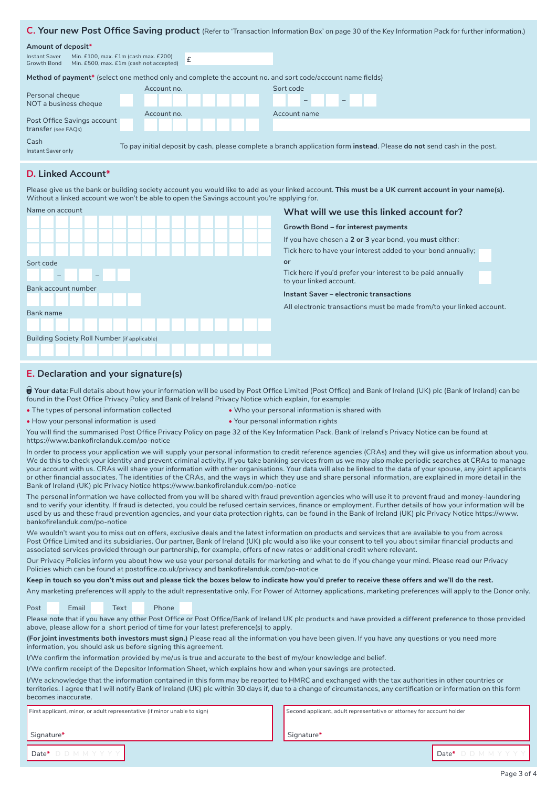#### **C. Your new Post Office Saving product** (Refer to 'Transaction Information Box' on page 30 of the Key Information Pack for further information.)

#### **Amount of deposit\***

| Amount of deposit <sup>*</sup>                     |                                                                                                                                        |  |  |              |  |  |  |  |
|----------------------------------------------------|----------------------------------------------------------------------------------------------------------------------------------------|--|--|--------------|--|--|--|--|
| Instant Saver<br>Growth Bond                       | Min. £100, max. £1m (cash max. £200)<br>Min. £500, max. £1m (cash not accepted)                                                        |  |  |              |  |  |  |  |
|                                                    | Method of payment* (select one method only and complete the account no. and sort code/account name fields)                             |  |  |              |  |  |  |  |
|                                                    | Account no.                                                                                                                            |  |  | Sort code    |  |  |  |  |
| Personal cheque<br>NOT a business cheque           |                                                                                                                                        |  |  | $\sim$       |  |  |  |  |
|                                                    | Account no.                                                                                                                            |  |  | Account name |  |  |  |  |
| Post Office Savings account<br>transfer (see FAQs) |                                                                                                                                        |  |  |              |  |  |  |  |
| Cash                                               |                                                                                                                                        |  |  |              |  |  |  |  |
| Instant Saver only                                 | To pay initial deposit by cash, please complete a branch application form <b>instead</b> . Please <b>do not</b> send cash in the post. |  |  |              |  |  |  |  |

#### **D. Linked Account\***

Please give us the bank or building society account you would like to add as your linked account. **This must be a UK current account in your name(s).** Without a linked account we won't be able to open the Savings account you're applying for.



#### **What will we use this linked account for?**

**Growth Bond – for interest payments**

If you have chosen a **2 or 3** year bond, you **must** either:

Tick here to have your interest added to your bond annually; **or**

Tick here if you'd prefer your interest to be paid annually to your linked account.

**Instant Saver – electronic transactions**

All electronic transactions must be made from/to your linked account.

#### **E. Declaration and your signature(s)**

**i** Your data: Full details about how your information will be used by Post Office Limited (Post Office) and Bank of Ireland (UK) plc (Bank of Ireland) can be found in the Post Office Privacy Policy and Bank of Ireland Privacy Notice which explain, for example:

**•** The types of personal information collected **•** Who your personal information is shared with

**•** How your personal information is used **•** Your personal information rights

You will find the summarised Post Office Privacy Policy on page 32 of the Key Information Pack. Bank of Ireland's Privacy Notice can be found at https://www.bankofirelanduk.com/po-notice

In order to process your application we will supply your personal information to credit reference agencies (CRAs) and they will give us information about you. We do this to check your identity and prevent criminal activity. If you take banking services from us we may also make periodic searches at CRAs to manage your account with us. CRAs will share your information with other organisations. Your data will also be linked to the data of your spouse, any joint applicants or other financial associates. The identities of the CRAs, and the ways in which they use and share personal information, are explained in more detail in the Bank of Ireland (UK) plc Privacy Notice https://www.bankofirelanduk.com/po-notice

The personal information we have collected from you will be shared with fraud prevention agencies who will use it to prevent fraud and money-laundering and to verify your identity. If fraud is detected, you could be refused certain services, finance or employment. Further details of how your information will be used by us and these fraud prevention agencies, and your data protection rights, can be found in the Bank of Ireland (UK) plc Privacy Notice https://www. bankofirelanduk.com/po-notice

We wouldn't want you to miss out on offers, exclusive deals and the latest information on products and services that are available to you from across Post Office Limited and its subsidiaries. Our partner, Bank of Ireland (UK) plc would also like your consent to tell you about similar financial products and associated services provided through our partnership, for example, offers of new rates or additional credit where relevant.

Our Privacy Policies inform you about how we use your personal details for marketing and what to do if you change your mind. Please read our Privacy Policies which can be found at postoffice.co.uk/privacy and bankofirelanduk.com/po-notice

**Keep in touch so you don't miss out and please tick the boxes below to indicate how you'd prefer to receive these offers and we'll do the rest.**

Any marketing preferences will apply to the adult representative only. For Power of Attorney applications, marketing preferences will apply to the Donor only.

Post Email Text Phone

Please note that if you have any other Post Office or Post Office/Bank of Ireland UK plc products and have provided a different preference to those provided above, please allow for a short period of time for your latest preference(s) to apply.

**(For joint investments both investors must sign.)** Please read all the information you have been given. If you have any questions or you need more information, you should ask us before signing this agreement.

I/We confirm the information provided by me/us is true and accurate to the best of my/our knowledge and belief.

I/We confirm receipt of the Depositor Information Sheet, which explains how and when your savings are protected.

I/We acknowledge that the information contained in this form may be reported to HMRC and exchanged with the tax authorities in other countries or territories. I agree that l will notify Bank of Ireland (UK) plc within 30 days if, due to a change of circumstances, any certification or information on this form becomes inaccurate.

Signature**\***

First applicant, minor, or adult representative (if minor unable to sign)

Second applicant, adult representative or attorney for account holder

Signature**\***

Date**\*** D D M M Y Y Y Y Date**\*** D D M M Y Y Y Y